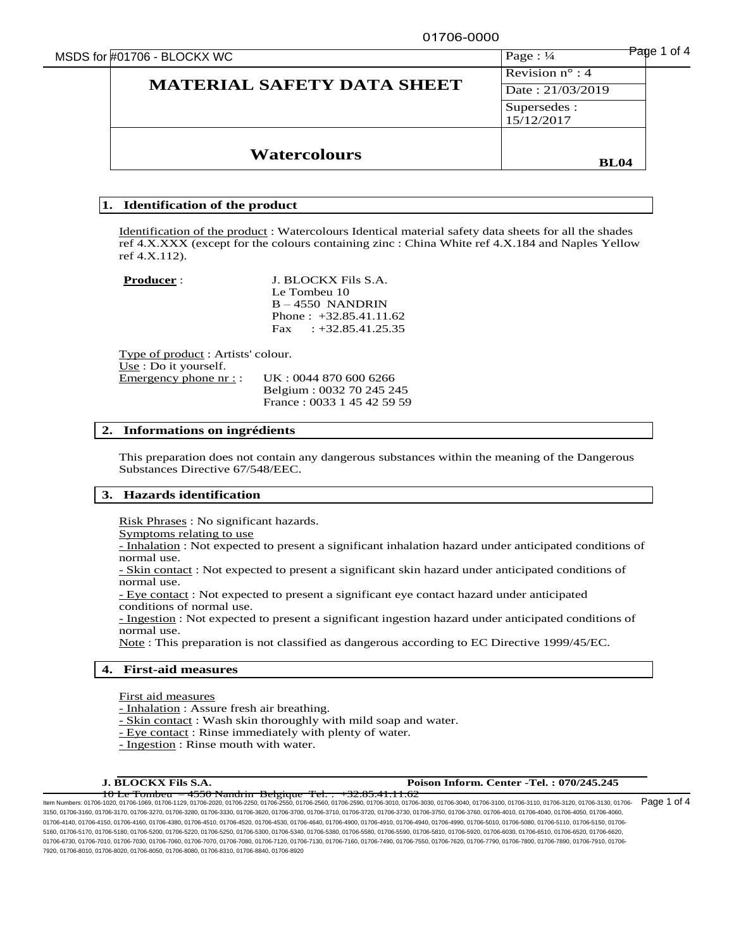01706-0000

|  | MSDS for #01706 - BLOCKX WC |  |
|--|-----------------------------|--|
|--|-----------------------------|--|

| MSDS for #01706 - BLOCKX WC       | Page: $\frac{1}{4}$        | of 4<br>Panue <sup>.</sup> |
|-----------------------------------|----------------------------|----------------------------|
|                                   | Revision $n^{\circ}$ : 4   |                            |
| <b>MATERIAL SAFETY DATA SHEET</b> | Date: 21/03/2019           |                            |
|                                   | Supersedes :<br>15/12/2017 |                            |
| <b>Watercolours</b>               | <b>BL04</b>                |                            |

# **1. Identification of the product**

Identification of the product : Watercolours Identical material safety data sheets for all the shades ref 4.X.XXX (except for the colours containing zinc : China White ref 4.X.184 and Naples Yellow ref 4.X.112).

**Producer** : **J. BLOCKX Fils S.A.** Le Tombeu 10 B – 4550 NANDRIN Phone : +32.85.41.11.62 Fax  $: +32.85.41.25.35$ 

Type of product : Artists' colour. Use : Do it yourself. Emergency phone nr :: UK : 0044 870 600 6266 Belgium : 0032 70 245 245 France : 0033 1 45 42 59 59

# **2. Informations on ingrédients**

This preparation does not contain any dangerous substances within the meaning of the Dangerous Substances Directive 67/548/EEC.

# **3. Hazards identification**

Risk Phrases : No significant hazards.

Symptoms relating to use

- Inhalation : Not expected to present a significant inhalation hazard under anticipated conditions of normal use.

- Skin contact : Not expected to present a significant skin hazard under anticipated conditions of normal use.

- Eye contact : Not expected to present a significant eye contact hazard under anticipated conditions of normal use.

- Ingestion : Not expected to present a significant ingestion hazard under anticipated conditions of normal use.

Note : This preparation is not classified as dangerous according to EC Directive 1999/45/EC.

# **4. First-aid measures**

First aid measures

- Inhalation : Assure fresh air breathing.

- Skin contact : Wash skin thoroughly with mild soap and water.

- Eye contact : Rinse immediately with plenty of water.
- Ingestion : Rinse mouth with water.

### **J. BLOCKX Fils S.A. Poison Inform. Center -Tel. : 070/245.245**

10 Le Tombeu – 4550 Nandrin Belgique Tel. : +32.85.41.11.62 Item Numbers: 01706-1020, 01706-1069, 01706-1129, 01706-2020, 01706-2250, 01706-2550, 01706-2560, 01706-2590, 01706-3010, 01706-3030, 01706-3040, 01706-3100, 01706-3110, 01706-3120, 01706-3130, 01706- 3150, 01706-3160, 01706-3170, 01706-3270, 01706-3280, 01706-3330, 01706-3620, 01706-3700, 01706-3710, 01706-3720, 01706-3730, 01706-3750, 01706-3760, 01706-4010, 01706-4040, 01706-4050, 01706-4060, 01706-4140, 01706-4150, 01706-4160, 01706-4380, 01706-4510, 01706-4530, 01706-4640, 01706-4900, 01706-4910, 01706-4940, 01706-4990, 01706-5010, 01706-5080, 01706-5110, 01706-5150, 01706-5110, 01706-5110, 01706-5150, 01706-5 5160, 01706-5170, 01706-5180, 01706-5200, 01706-5220, 01706-5250, 01706-5300, 01706-5340, 01706-5380, 01706-5580, 01706-5590, 01706-5810, 01706-5920, 01706-6030, 01706-6510, 01706-6520, 01706-6620, 01706-6730, 01706-7010, 01706-7030, 01706-7060, 01706-7070, 01706-7120, 01706-7130, 01706-7130, 01706-7490, 01706-7550, 01706-7620, 01706-7790, 01706-7800, 01706-7890, 01706-7910, 01706-7800, 01706-7800, 01706-7800, 01706-7 7920, 01706-8010, 01706-8020, 01706-8050, 01706-8080, 01706-8310, 01706-8840, 01706-8920

Page 1 of 4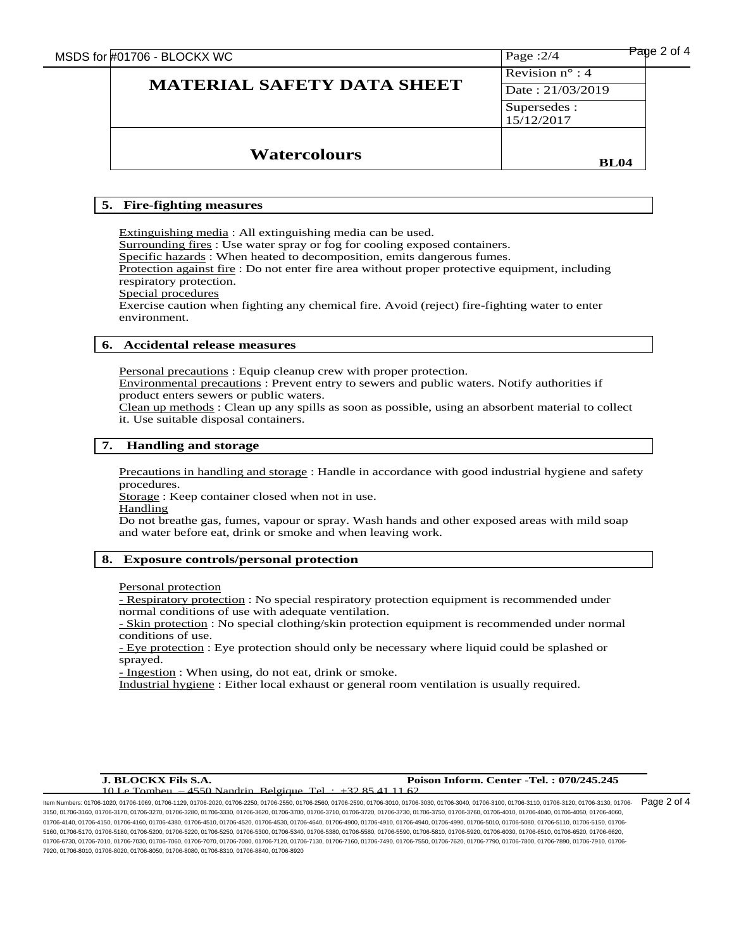MSDS for  $\frac{\text{#01706 - BLOCKX WC}}{999998}$ **MATERIAL SAFETY DATA SHEET**  Page :2/4 Revision n° : 4 Date : 21/03/2019 Supersedes : 15/12/2017 **Watercolours BL04**

# **5. Fire-fighting measures**

Extinguishing media : All extinguishing media can be used. Surrounding fires : Use water spray or fog for cooling exposed containers. Specific hazards : When heated to decomposition, emits dangerous fumes. Protection against fire : Do not enter fire area without proper protective equipment, including respiratory protection. Special procedures Exercise caution when fighting any chemical fire. Avoid (reject) fire-fighting water to enter environment.

# **6. Accidental release measures**

Personal precautions : Equip cleanup crew with proper protection.

Environmental precautions : Prevent entry to sewers and public waters. Notify authorities if product enters sewers or public waters.

Clean up methods : Clean up any spills as soon as possible, using an absorbent material to collect it. Use suitable disposal containers.

## **7. Handling and storage**

Precautions in handling and storage : Handle in accordance with good industrial hygiene and safety procedures.

Storage : Keep container closed when not in use.

**Handling** 

Do not breathe gas, fumes, vapour or spray. Wash hands and other exposed areas with mild soap and water before eat, drink or smoke and when leaving work.

# **8. Exposure controls/personal protection**

Personal protection

- Respiratory protection : No special respiratory protection equipment is recommended under normal conditions of use with adequate ventilation.

- Skin protection : No special clothing/skin protection equipment is recommended under normal conditions of use.

- Eye protection : Eye protection should only be necessary where liquid could be splashed or sprayed.

- Ingestion : When using, do not eat, drink or smoke.

Industrial hygiene : Either local exhaust or general room ventilation is usually required.

# 1 Le Tombeu – 4550 Nandrin Belgique

### **J. BLOCKX Fils S.A. Poison Inform. Center -Tel. : 070/245.245**

ltem Numbers: 01706-1020, 01706-1069, 01706-1129, 01706-2020, 01706-2250, 01706-2550, 01706-2550, 01706-3010, 01706-3030, 01706-3040, 01706-3100, 01706-3110, 01706-3120, 01706-3130, 01706-3120, 01706-3120, 01706-3130, 0170 3150, 01706-3160, 01706-3170, 01706-3270, 01706-3280, 01706-3330, 01706-3620, 01706-3700, 01706-3710, 01706-3720, 01706-3730, 01706-3750, 01706-3760, 01706-4010, 01706-4040, 01706-4050, 01706-4060, 01706-4140, 01706-4150, 01706-4160, 01706-4380, 01706-4510, 01706-4520, 01706-4530, 01706-4640, 01706-4910, 01706-4910, 01706-4940, 01706-5010, 01706-5080, 01706-5110, 01706-5110, 01706-5110, 01706-5110, 01706-5150, 01706-5 5160, 01706-5170, 01706-5180, 01706-5200, 01706-5220, 01706-5250, 01706-5300, 01706-5340, 01706-5380, 01706-5580, 01706-5590, 01706-5810, 01706-5920, 01706-6030, 01706-6510, 01706-6520, 01706-6620, 01706-6730, 01706-7010, 01706-7030, 01706-7080, 01706-7070, 01706-7080, 01706-7120, 01706-7130, 01706-7160, 01706-7490, 01706-7550, 01706-7520, 01706-7790, 01706-7890, 01706-7890, 01706-7800, 01706-790, 01706-7890, 01706-78 7920, 01706-8010, 01706-8020, 01706-8050, 01706-8080, 01706-8310, 01706-8840, 01706-8920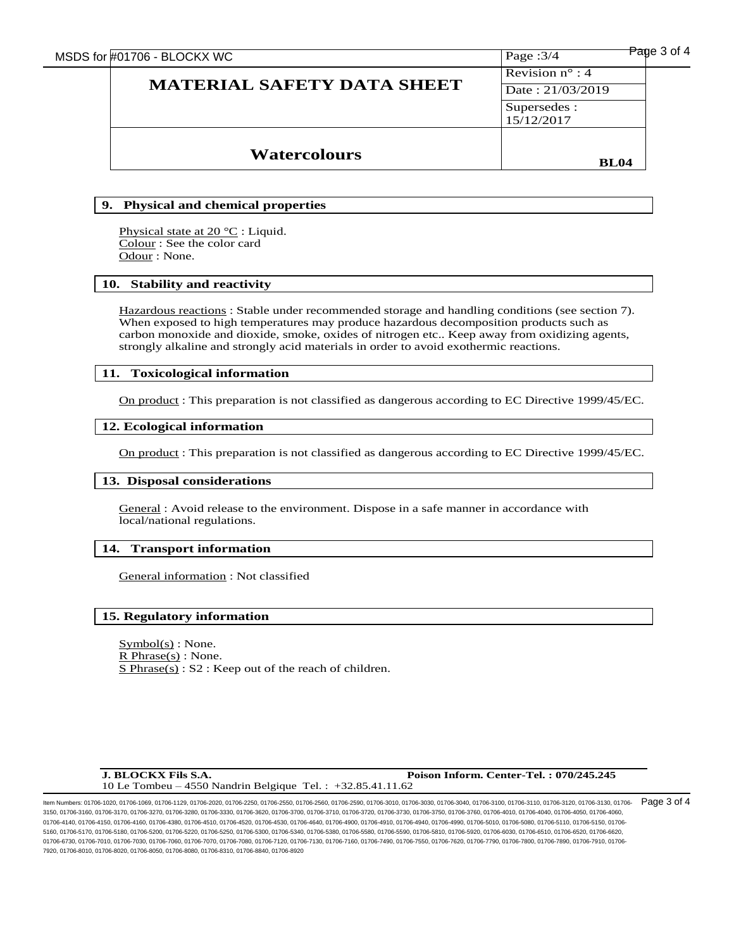| <b>Watercolours</b>               | <b>BL04</b>                                  |             |
|-----------------------------------|----------------------------------------------|-------------|
|                                   | Supersedes :<br>15/12/2017                   |             |
| <b>MATERIAL SAFETY DATA SHEET</b> | Revision $n^{\circ}$ : 4<br>Date: 21/03/2019 |             |
| MSDS for #01706 - BLOCKX WC       | Page: $3/4$                                  | Page 3 of 4 |

# **9. Physical and chemical properties**

Physical state at 20 °C : Liquid. Colour : See the color card Odour : None.

# **10. Stability and reactivity**

Hazardous reactions : Stable under recommended storage and handling conditions (see section 7). When exposed to high temperatures may produce hazardous decomposition products such as carbon monoxide and dioxide, smoke, oxides of nitrogen etc.. Keep away from oxidizing agents, strongly alkaline and strongly acid materials in order to avoid exothermic reactions.

# **11. Toxicological information**

On product : This preparation is not classified as dangerous according to EC Directive 1999/45/EC.

## **12. Ecological information**

On product : This preparation is not classified as dangerous according to EC Directive 1999/45/EC.

## **13. Disposal considerations**

٦

General : Avoid release to the environment. Dispose in a safe manner in accordance with local/national regulations. 

## **14. Transport information**

٦ General information : Not classified

# **15. Regulatory information**

 $Symbol(s)$ : None.  $R$  Phrase(s) : None. S Phrase(s) : S2 : Keep out of the reach of children.

**J. BLOCKX Fils S.A. Poison Inform. Center-Tel. : 070/245.245** 10 Le Tombeu – 4550 Nandrin Belgique Tel. : +32.85.41.11.62

ltem Numbers: 01706-1020, 01706-1069, 01706-1129, 01706-2020, 01706-2250, 01706-2550, 01706-2550, 01706-3010, 01706-3030, 01706-3040, 01706-3100, 01706-3110, 01706-3120, 01706-3130, 01706-3120, 01706-3120, 01706-3130, 0170 3150, 01706-3160, 01706-3170, 01706-3270, 01706-3280, 01706-3330, 01706-3620, 01706-3700, 01706-3710, 01706-3720, 01706-3730, 01706-3750, 01706-3760, 01706-4010, 01706-4040, 01706-4050, 01706-4060, 01706-4140, 01706-4150, 01706-4160, 01706-4380, 01706-4510, 01706-4530, 01706-4640, 01706-4900, 01706-4910, 01706-4940, 01706-4990, 01706-5010, 01706-5080, 01706-5110, 01706-5150, 01706-5110, 01706-5110, 01706-5150, 01706-5 5160, 01706-5170, 01706-5180, 01706-5200, 01706-5220, 01706-5250, 01706-5300, 01706-5340, 01706-5380, 01706-5580, 01706-5590, 01706-5810, 01706-5920, 01706-6030, 01706-6510, 01706-6520, 01706-6620, 01706-6730, 01706-7010, 01706-7030, 01706-7060, 01706-7070, 01706-7120, 01706-7130, 01706-7130, 01706-7490, 01706-7550, 01706-7620, 01706-7790, 01706-7800, 01706-7890, 01706-7910, 01706-7800, 01706-7800, 01706-7800, 01706-7 7920, 01706-8010, 01706-8020, 01706-8050, 01706-8080, 01706-8310, 01706-8840, 01706-8920